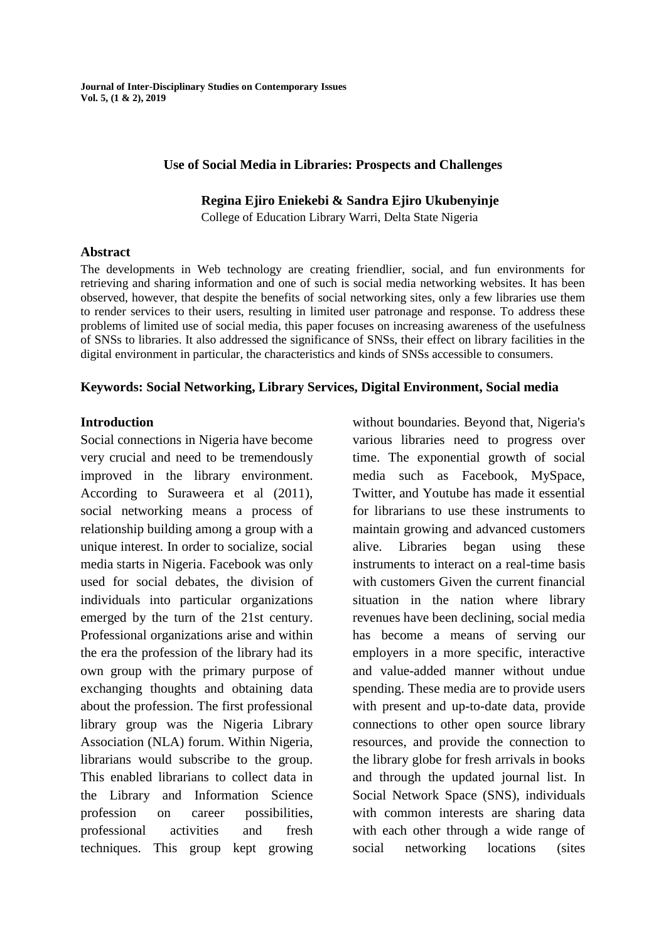#### **Use of Social Media in Libraries: Prospects and Challenges**

### **Regina Ejiro Eniekebi & Sandra Ejiro Ukubenyinje**

College of Education Library Warri, Delta State Nigeria

#### **Abstract**

The developments in Web technology are creating friendlier, social, and fun environments for retrieving and sharing information and one of such is social media networking websites. It has been observed, however, that despite the benefits of social networking sites, only a few libraries use them to render services to their users, resulting in limited user patronage and response. To address these problems of limited use of social media, this paper focuses on increasing awareness of the usefulness of SNSs to libraries. It also addressed the significance of SNSs, their effect on library facilities in the digital environment in particular, the characteristics and kinds of SNSs accessible to consumers.

### **Keywords: Social Networking, Library Services, Digital Environment, Social media**

### **Introduction**

Social connections in Nigeria have become very crucial and need to be tremendously improved in the library environment. According to Suraweera et al (2011), social networking means a process of relationship building among a group with a unique interest. In order to socialize, social media starts in Nigeria. Facebook was only used for social debates, the division of individuals into particular organizations emerged by the turn of the 21st century. Professional organizations arise and within the era the profession of the library had its own group with the primary purpose of exchanging thoughts and obtaining data about the profession. The first professional library group was the Nigeria Library Association (NLA) forum. Within Nigeria, librarians would subscribe to the group. This enabled librarians to collect data in the Library and Information Science profession on career possibilities, professional activities and fresh techniques. This group kept growing without boundaries. Beyond that, Nigeria's various libraries need to progress over time. The exponential growth of social media such as Facebook, MySpace, Twitter, and Youtube has made it essential for librarians to use these instruments to maintain growing and advanced customers alive. Libraries began using these instruments to interact on a real-time basis with customers Given the current financial situation in the nation where library revenues have been declining, social media has become a means of serving our employers in a more specific, interactive and value-added manner without undue spending. These media are to provide users with present and up-to-date data, provide connections to other open source library resources, and provide the connection to the library globe for fresh arrivals in books and through the updated journal list. In Social Network Space (SNS), individuals with common interests are sharing data with each other through a wide range of social networking locations (sites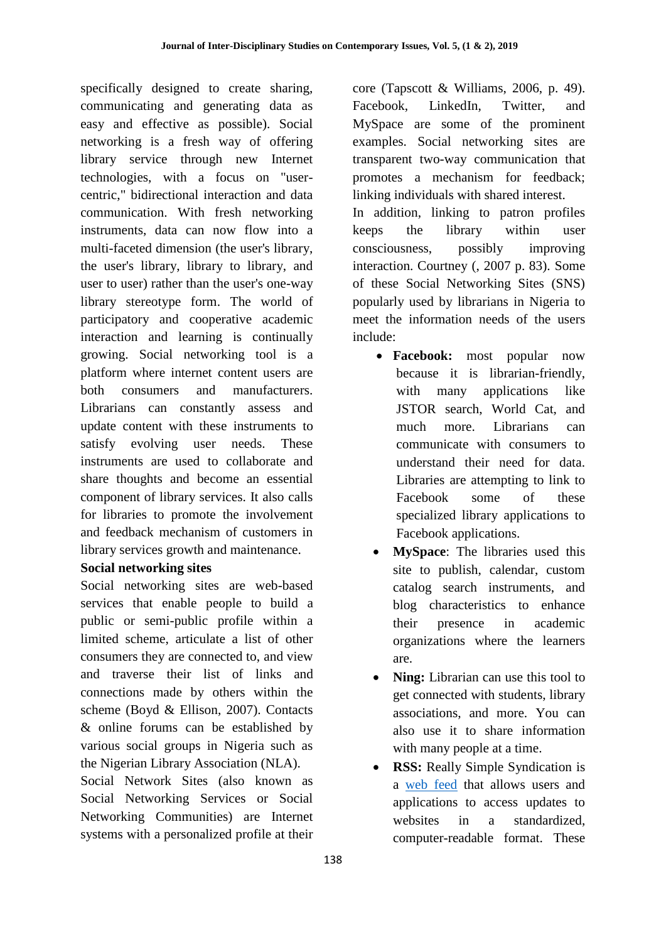specifically designed to create sharing, communicating and generating data as easy and effective as possible). Social networking is a fresh way of offering library service through new Internet technologies, with a focus on "usercentric," bidirectional interaction and data communication. With fresh networking instruments, data can now flow into a multi-faceted dimension (the user's library, the user's library, library to library, and user to user) rather than the user's one-way library stereotype form. The world of participatory and cooperative academic interaction and learning is continually growing. Social networking tool is a platform where internet content users are both consumers and manufacturers. Librarians can constantly assess and update content with these instruments to satisfy evolving user needs. These instruments are used to collaborate and share thoughts and become an essential component of library services. It also calls for libraries to promote the involvement and feedback mechanism of customers in library services growth and maintenance.

## **Social networking sites**

Social networking sites are web-based services that enable people to build a public or semi-public profile within a limited scheme, articulate a list of other consumers they are connected to, and view and traverse their list of links and connections made by others within the scheme (Boyd & Ellison, 2007). Contacts & online forums can be established by various social groups in Nigeria such as the Nigerian Library Association (NLA).

Social Network Sites (also known as Social Networking Services or Social Networking Communities) are Internet systems with a personalized profile at their core (Tapscott & Williams, 2006, p. 49). Facebook, LinkedIn, Twitter, and MySpace are some of the prominent examples. Social networking sites are transparent two-way communication that promotes a mechanism for feedback; linking individuals with shared interest.

In addition, linking to patron profiles keeps the library within user consciousness, possibly improving interaction. Courtney (, 2007 p. 83). Some of these Social Networking Sites (SNS) popularly used by librarians in Nigeria to meet the information needs of the users include:

- **Facebook:** most popular now because it is librarian-friendly, with many applications like JSTOR search, World Cat, and much more. Librarians can communicate with consumers to understand their need for data. Libraries are attempting to link to Facebook some of these specialized library applications to Facebook applications.
- **MySpace**: The libraries used this site to publish, calendar, custom catalog search instruments, and blog characteristics to enhance their presence in academic organizations where the learners are.
- **Ning:** Librarian can use this tool to get connected with students, library associations, and more. You can also use it to share information with many people at a time.
- **RSS:** Really Simple Syndication is a [web feed](https://en.wikipedia.org/wiki/Web_feed) that allows users and applications to access updates to websites in a standardized, computer-readable format. These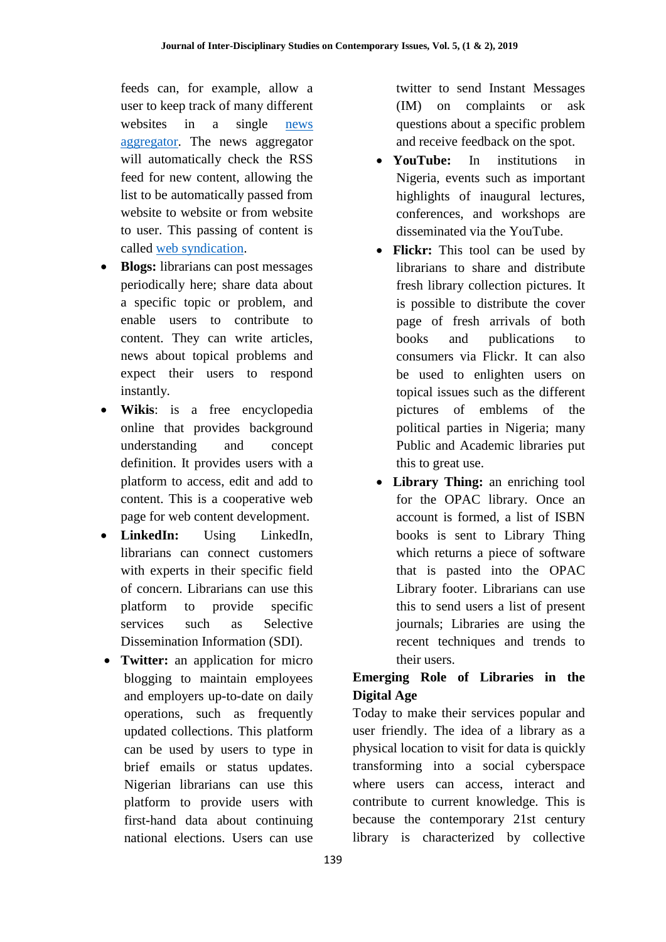feeds can, for example, allow a user to keep track of many different websites in a single [news](https://en.wikipedia.org/wiki/News_aggregator)  [aggregator.](https://en.wikipedia.org/wiki/News_aggregator) The news aggregator will automatically check the RSS feed for new content, allowing the list to be automatically passed from website to website or from website to user. This passing of content is called [web syndication.](https://en.wikipedia.org/wiki/Web_syndication)

- **Blogs:** librarians can post messages periodically here; share data about a specific topic or problem, and enable users to contribute to content. They can write articles, news about topical problems and expect their users to respond instantly.
- **Wikis**: is a free encyclopedia online that provides background understanding and concept definition. It provides users with a platform to access, edit and add to content. This is a cooperative web page for web content development.
- **LinkedIn:** Using LinkedIn, librarians can connect customers with experts in their specific field of concern. Librarians can use this platform to provide specific services such as Selective Dissemination Information (SDI).
- **Twitter:** an application for micro blogging to maintain employees and employers up-to-date on daily operations, such as frequently updated collections. This platform can be used by users to type in brief emails or status updates. Nigerian librarians can use this platform to provide users with first-hand data about continuing national elections. Users can use

twitter to send Instant Messages (IM) on complaints or ask questions about a specific problem and receive feedback on the spot.

- **YouTube:** In institutions in Nigeria, events such as important highlights of inaugural lectures, conferences, and workshops are disseminated via the YouTube.
- Flickr: This tool can be used by librarians to share and distribute fresh library collection pictures. It is possible to distribute the cover page of fresh arrivals of both books and publications to consumers via Flickr. It can also be used to enlighten users on topical issues such as the different pictures of emblems of the political parties in Nigeria; many Public and Academic libraries put this to great use.
- **Library Thing:** an enriching tool for the OPAC library. Once an account is formed, a list of ISBN books is sent to Library Thing which returns a piece of software that is pasted into the OPAC Library footer. Librarians can use this to send users a list of present journals; Libraries are using the recent techniques and trends to their users.

# **Emerging Role of Libraries in the Digital Age**

Today to make their services popular and user friendly. The idea of a library as a physical location to visit for data is quickly transforming into a social cyberspace where users can access, interact and contribute to current knowledge. This is because the contemporary 21st century library is characterized by collective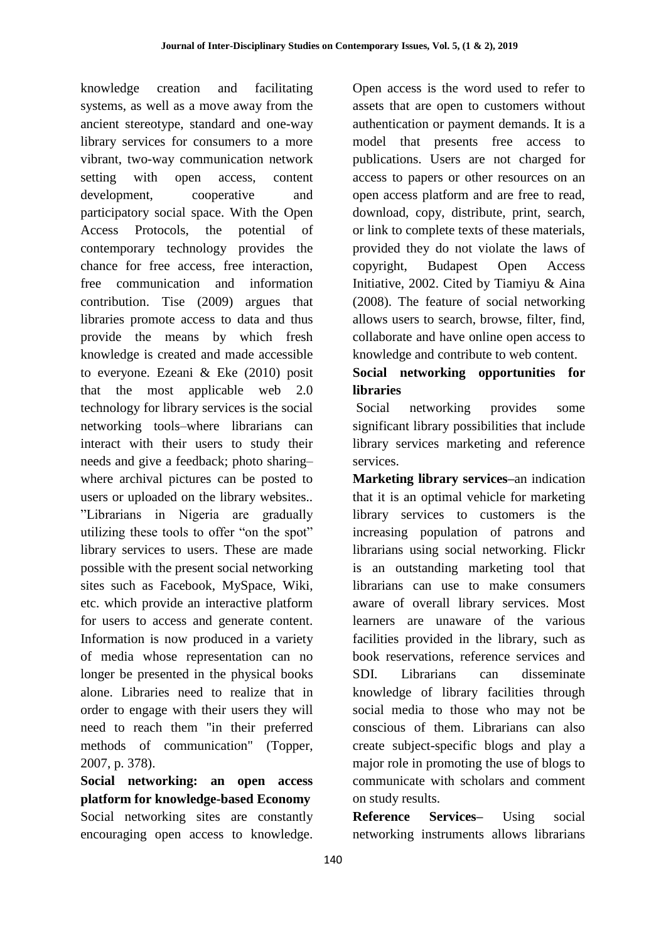knowledge creation and facilitating systems, as well as a move away from the ancient stereotype, standard and one-way library services for consumers to a more vibrant, two-way communication network setting with open access, content development, cooperative and participatory social space. With the Open Access Protocols, the potential of contemporary technology provides the chance for free access, free interaction, free communication and information contribution. Tise (2009) argues that libraries promote access to data and thus provide the means by which fresh knowledge is created and made accessible to everyone. Ezeani & Eke (2010) posit that the most applicable web 2.0 technology for library services is the social networking tools–where librarians can interact with their users to study their needs and give a feedback; photo sharing– where archival pictures can be posted to users or uploaded on the library websites.. "Librarians in Nigeria are gradually utilizing these tools to offer "on the spot" library services to users. These are made possible with the present social networking sites such as Facebook, MySpace, Wiki, etc. which provide an interactive platform for users to access and generate content. Information is now produced in a variety of media whose representation can no longer be presented in the physical books alone. Libraries need to realize that in order to engage with their users they will need to reach them "in their preferred methods of communication" (Topper, 2007, p. 378).

**Social networking: an open access platform for knowledge-based Economy** Social networking sites are constantly encouraging open access to knowledge.

Open access is the word used to refer to assets that are open to customers without authentication or payment demands. It is a model that presents free access to publications. Users are not charged for access to papers or other resources on an open access platform and are free to read, download, copy, distribute, print, search, or link to complete texts of these materials, provided they do not violate the laws of copyright, Budapest Open Access Initiative, 2002. Cited by Tiamiyu & Aina (2008). The feature of social networking allows users to search, browse, filter, find, collaborate and have online open access to knowledge and contribute to web content.

# **Social networking opportunities for libraries**

Social networking provides some significant library possibilities that include library services marketing and reference services.

**Marketing library services–**an indication that it is an optimal vehicle for marketing library services to customers is the increasing population of patrons and librarians using social networking. Flickr is an outstanding marketing tool that librarians can use to make consumers aware of overall library services. Most learners are unaware of the various facilities provided in the library, such as book reservations, reference services and SDI. Librarians can disseminate knowledge of library facilities through social media to those who may not be conscious of them. Librarians can also create subject-specific blogs and play a major role in promoting the use of blogs to communicate with scholars and comment on study results.

**Reference Services–** Using social networking instruments allows librarians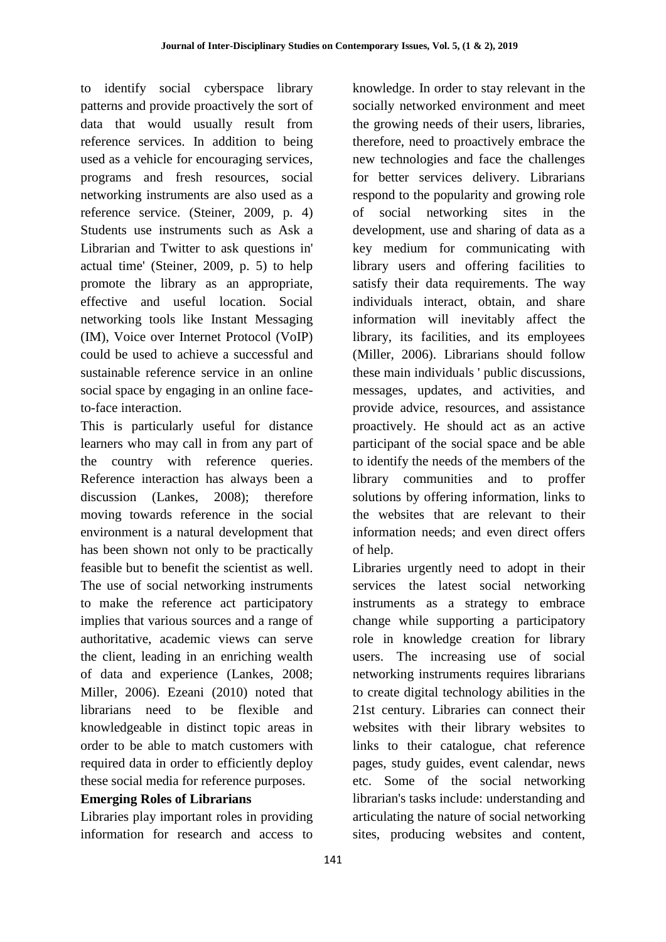to identify social cyberspace library patterns and provide proactively the sort of data that would usually result from reference services. In addition to being used as a vehicle for encouraging services, programs and fresh resources, social networking instruments are also used as a reference service. (Steiner, 2009, p. 4) Students use instruments such as Ask a Librarian and Twitter to ask questions in' actual time' (Steiner, 2009, p. 5) to help promote the library as an appropriate, effective and useful location. Social networking tools like Instant Messaging (IM), Voice over Internet Protocol (VoIP) could be used to achieve a successful and sustainable reference service in an online social space by engaging in an online faceto-face interaction.

This is particularly useful for distance learners who may call in from any part of the country with reference queries. Reference interaction has always been a discussion (Lankes, 2008); therefore moving towards reference in the social environment is a natural development that has been shown not only to be practically feasible but to benefit the scientist as well. The use of social networking instruments to make the reference act participatory implies that various sources and a range of authoritative, academic views can serve the client, leading in an enriching wealth of data and experience (Lankes, 2008; Miller, 2006). Ezeani (2010) noted that librarians need to be flexible and knowledgeable in distinct topic areas in order to be able to match customers with required data in order to efficiently deploy these social media for reference purposes.

### **Emerging Roles of Librarians**

Libraries play important roles in providing information for research and access to

knowledge. In order to stay relevant in the socially networked environment and meet the growing needs of their users, libraries, therefore, need to proactively embrace the new technologies and face the challenges for better services delivery. Librarians respond to the popularity and growing role of social networking sites in the development, use and sharing of data as a key medium for communicating with library users and offering facilities to satisfy their data requirements. The way individuals interact, obtain, and share information will inevitably affect the library, its facilities, and its employees (Miller, 2006). Librarians should follow these main individuals ' public discussions, messages, updates, and activities, and provide advice, resources, and assistance proactively. He should act as an active participant of the social space and be able to identify the needs of the members of the library communities and to proffer solutions by offering information, links to the websites that are relevant to their information needs; and even direct offers of help.

Libraries urgently need to adopt in their services the latest social networking instruments as a strategy to embrace change while supporting a participatory role in knowledge creation for library users. The increasing use of social networking instruments requires librarians to create digital technology abilities in the 21st century. Libraries can connect their websites with their library websites to links to their catalogue, chat reference pages, study guides, event calendar, news etc. Some of the social networking librarian's tasks include: understanding and articulating the nature of social networking sites, producing websites and content,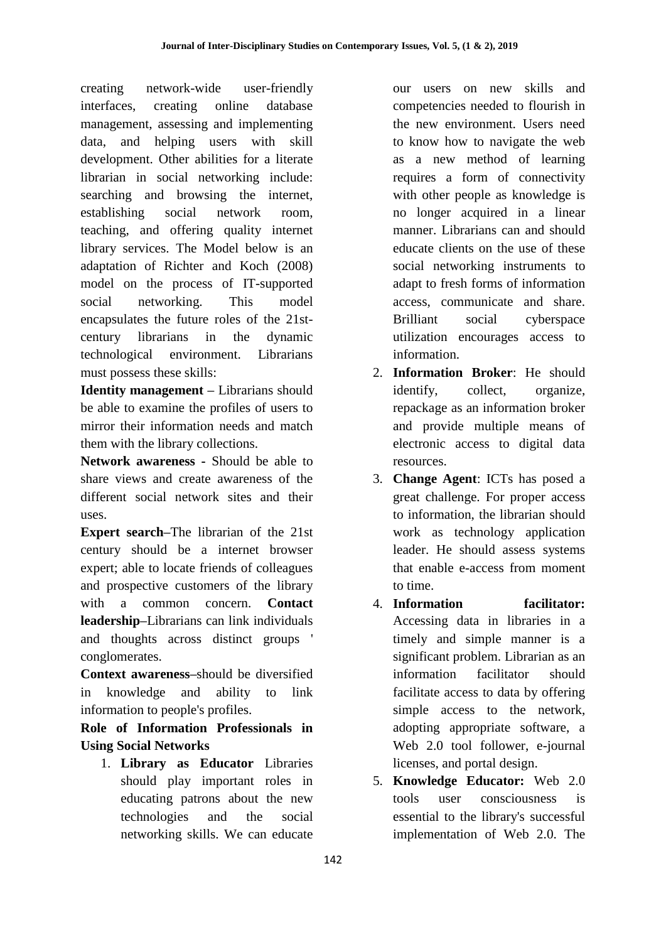creating network-wide user-friendly interfaces, creating online database management, assessing and implementing data, and helping users with skill development. Other abilities for a literate librarian in social networking include: searching and browsing the internet, establishing social network room, teaching, and offering quality internet library services. The Model below is an adaptation of Richter and Koch (2008) model on the process of IT-supported social networking. This model encapsulates the future roles of the 21stcentury librarians in the dynamic technological environment. Librarians must possess these skills:

**Identity management –** Librarians should be able to examine the profiles of users to mirror their information needs and match them with the library collections.

**Network awareness -** Should be able to share views and create awareness of the different social network sites and their uses.

**Expert search–**The librarian of the 21st century should be a internet browser expert; able to locate friends of colleagues and prospective customers of the library with a common concern. **Contact leadership–**Librarians can link individuals and thoughts across distinct groups ' conglomerates.

**Context awareness–**should be diversified in knowledge and ability to link information to people's profiles.

**Role of Information Professionals in Using Social Networks**

1. **Library as Educator** Libraries should play important roles in educating patrons about the new technologies and the social networking skills. We can educate

our users on new skills and competencies needed to flourish in the new environment. Users need to know how to navigate the web as a new method of learning requires a form of connectivity with other people as knowledge is no longer acquired in a linear manner. Librarians can and should educate clients on the use of these social networking instruments to adapt to fresh forms of information access, communicate and share. Brilliant social cyberspace utilization encourages access to information.

- 2. **Information Broker**: He should identify, collect, organize. repackage as an information broker and provide multiple means of electronic access to digital data resources.
- 3. **Change Agent**: ICTs has posed a great challenge. For proper access to information, the librarian should work as technology application leader. He should assess systems that enable e-access from moment to time.
- 4. **Information facilitator:** Accessing data in libraries in a timely and simple manner is a significant problem. Librarian as an information facilitator should facilitate access to data by offering simple access to the network, adopting appropriate software, a Web 2.0 tool follower, e-journal licenses, and portal design.
- 5. **Knowledge Educator:** Web 2.0 tools user consciousness is essential to the library's successful implementation of Web 2.0. The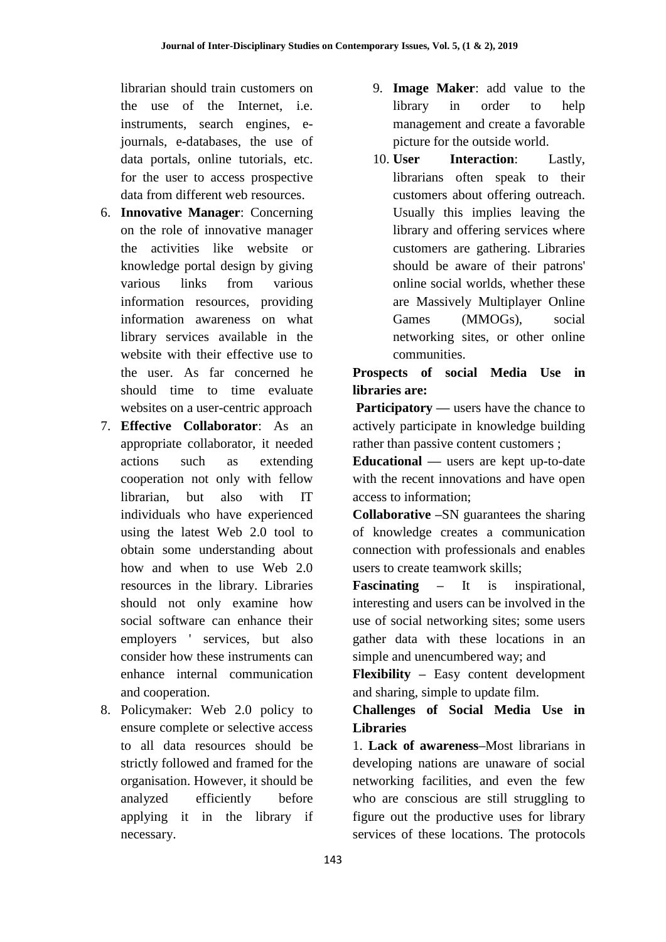librarian should train customers on the use of the Internet, i.e. instruments, search engines, ejournals, e-databases, the use of data portals, online tutorials, etc. for the user to access prospective data from different web resources.

- 6. **Innovative Manager**: Concerning on the role of innovative manager the activities like website or knowledge portal design by giving various links from various information resources, providing information awareness on what library services available in the website with their effective use to the user. As far concerned he should time to time evaluate websites on a user-centric approach
- 7. **Effective Collaborator**: As an appropriate collaborator, it needed actions such as extending cooperation not only with fellow librarian, but also with IT individuals who have experienced using the latest Web 2.0 tool to obtain some understanding about how and when to use Web 2.0 resources in the library. Libraries should not only examine how social software can enhance their employers ' services, but also consider how these instruments can enhance internal communication and cooperation.
- 8. Policymaker: Web 2.0 policy to ensure complete or selective access to all data resources should be strictly followed and framed for the organisation. However, it should be analyzed efficiently before applying it in the library if necessary.
- 9. **Image Maker**: add value to the library in order to help management and create a favorable picture for the outside world.
- 10. **User Interaction**: Lastly, librarians often speak to their customers about offering outreach. Usually this implies leaving the library and offering services where customers are gathering. Libraries should be aware of their patrons' online social worlds, whether these are Massively Multiplayer Online Games (MMOGs), social networking sites, or other online communities.

**Prospects of social Media Use in libraries are:**

**Participatory** — users have the chance to actively participate in knowledge building rather than passive content customers ;

**Educational —** users are kept up-to-date with the recent innovations and have open access to information;

**Collaborative –**SN guarantees the sharing of knowledge creates a communication connection with professionals and enables users to create teamwork skills;

**Fascinating –** It is inspirational, interesting and users can be involved in the use of social networking sites; some users gather data with these locations in an simple and unencumbered way; and

**Flexibility –** Easy content development and sharing, simple to update film.

**Challenges of Social Media Use in Libraries** 

1. **Lack of awareness–**Most librarians in developing nations are unaware of social networking facilities, and even the few who are conscious are still struggling to figure out the productive uses for library services of these locations. The protocols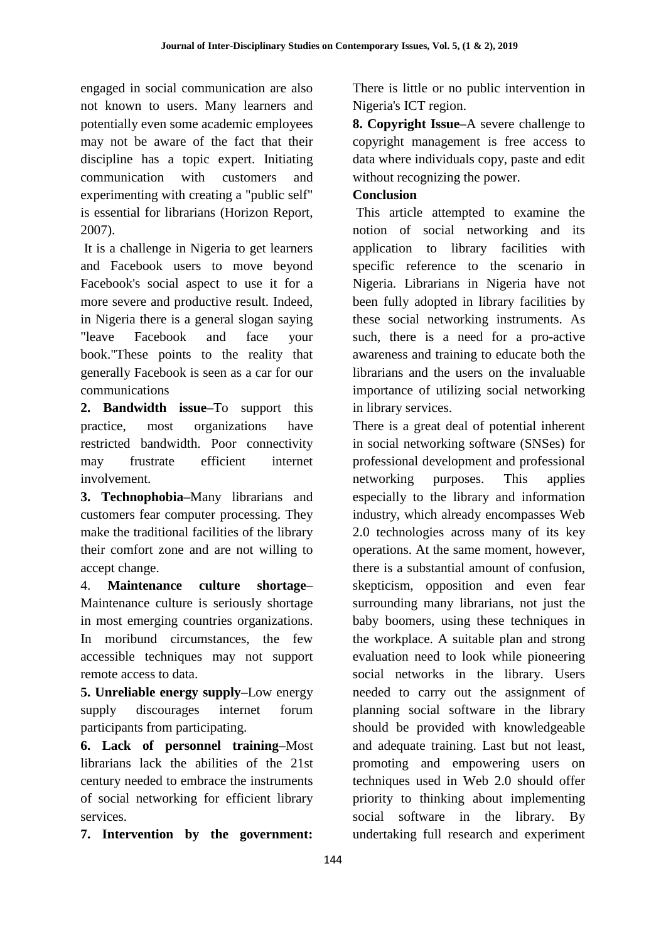engaged in social communication are also not known to users. Many learners and potentially even some academic employees may not be aware of the fact that their discipline has a topic expert. Initiating communication with customers and experimenting with creating a "public self" is essential for librarians (Horizon Report, 2007).

It is a challenge in Nigeria to get learners and Facebook users to move beyond Facebook's social aspect to use it for a more severe and productive result. Indeed, in Nigeria there is a general slogan saying "leave Facebook and face your book."These points to the reality that generally Facebook is seen as a car for our communications

**2. Bandwidth issue–**To support this practice, most organizations have restricted bandwidth. Poor connectivity may frustrate efficient internet involvement.

**3. Technophobia–**Many librarians and customers fear computer processing. They make the traditional facilities of the library their comfort zone and are not willing to accept change.

4. **Maintenance culture shortage–** Maintenance culture is seriously shortage in most emerging countries organizations. In moribund circumstances, the few accessible techniques may not support remote access to data.

**5. Unreliable energy supply–**Low energy supply discourages internet forum participants from participating.

**6. Lack of personnel training–**Most librarians lack the abilities of the 21st century needed to embrace the instruments of social networking for efficient library services.

**7. Intervention by the government:**

There is little or no public intervention in Nigeria's ICT region.

**8. Copyright Issue–**A severe challenge to copyright management is free access to data where individuals copy, paste and edit without recognizing the power.

# **Conclusion**

This article attempted to examine the notion of social networking and its application to library facilities with specific reference to the scenario in Nigeria. Librarians in Nigeria have not been fully adopted in library facilities by these social networking instruments. As such, there is a need for a pro-active awareness and training to educate both the librarians and the users on the invaluable importance of utilizing social networking in library services.

There is a great deal of potential inherent in social networking software (SNSes) for professional development and professional networking purposes. This applies especially to the library and information industry, which already encompasses Web 2.0 technologies across many of its key operations. At the same moment, however, there is a substantial amount of confusion, skepticism, opposition and even fear surrounding many librarians, not just the baby boomers, using these techniques in the workplace. A suitable plan and strong evaluation need to look while pioneering social networks in the library. Users needed to carry out the assignment of planning social software in the library should be provided with knowledgeable and adequate training. Last but not least, promoting and empowering users on techniques used in Web 2.0 should offer priority to thinking about implementing social software in the library. By undertaking full research and experiment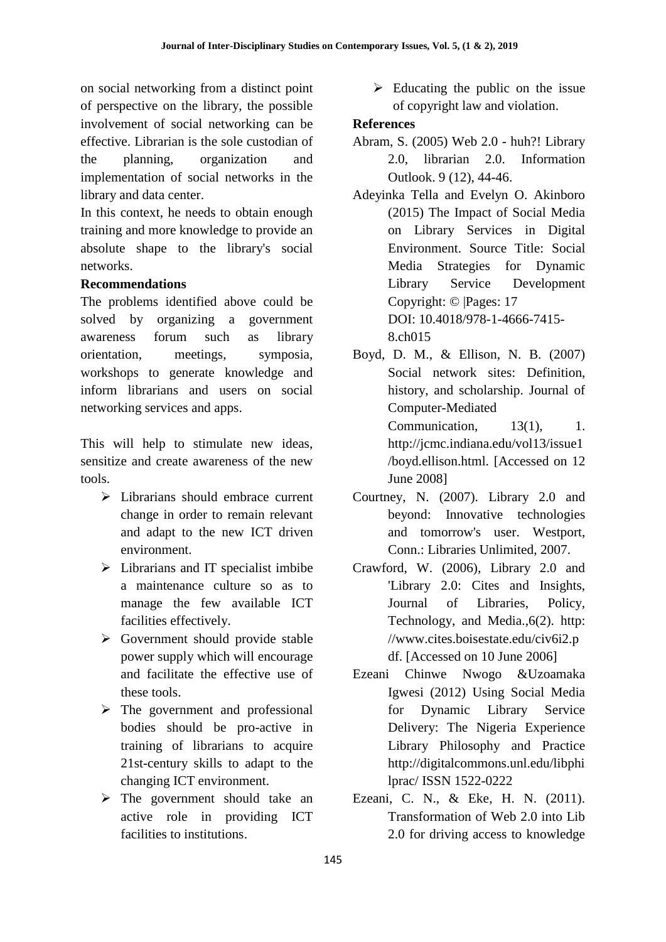on social networking from a distinct point of perspective on the library, the possible involvement of social networking can be effective. Librarian is the sole custodian of the planning, organization and implementation of social networks in the library and data center.

In this context, he needs to obtain enough training and more knowledge to provide an absolute shape to the library's social networks.

## **Recommendations**

The problems identified above could be solved by organizing a government awareness forum such as library orientation, meetings, symposia, workshops to generate knowledge and inform librarians and users on social networking services and apps.

This will help to stimulate new ideas, sensitize and create awareness of the new tools.

- $\triangleright$  Librarians should embrace current change in order to remain relevant and adapt to the new ICT driven environment.
- $\triangleright$  Librarians and IT specialist imbibe a maintenance culture so as to manage the few available ICT facilities effectively.
- $\triangleright$  Government should provide stable power supply which will encourage and facilitate the effective use of these tools.
- $\triangleright$  The government and professional bodies should be pro-active in training of librarians to acquire 21st-century skills to adapt to the changing ICT environment.
- $\triangleright$  The government should take an active role in providing ICT facilities to institutions.

 $\triangleright$  Educating the public on the issue of copyright law and violation.

## **References**

- Abram, S. (2005) Web 2.0 huh?! Library 2.0, librarian 2.0. Information Outlook. 9 (12), 44-46.
- Adeyinka Tella and Evelyn O. Akinboro (2015) The Impact of Social Media on Library Services in Digital Environment. Source Title: Social Media Strategies for Dynamic Library Service Development Copyright: © |Pages: 17 DOI: 10.4018/978-1-4666-7415- 8.ch015
- Boyd, D. M., & Ellison, N. B. (2007) Social network sites: Definition, history, and scholarship. Journal of Computer-Mediated Communication, 13(1), 1. http://jcmc.indiana.edu/vol13/issue1 /boyd.ellison.html. [Accessed on 12
- Courtney, N. (2007). Library 2.0 and beyond: Innovative technologies and tomorrow's user. Westport, Conn.: Libraries Unlimited, 2007.

June 2008]

- Crawford, W. (2006), Library 2.0 and 'Library 2.0: Cites and Insights, Journal of Libraries, Policy, Technology, and Media.,6(2). http: //www.cites.boisestate.edu/civ6i2.p df. [Accessed on 10 June 2006]
- Ezeani Chinwe Nwogo &Uzoamaka Igwesi (2012) Using Social Media for Dynamic Library Service Delivery: The Nigeria Experience Library Philosophy and Practice http://digitalcommons.unl.edu/libphi lprac/ ISSN 1522-0222
- Ezeani, C. N., & Eke, H. N. (2011). Transformation of Web 2.0 into Lib 2.0 for driving access to knowledge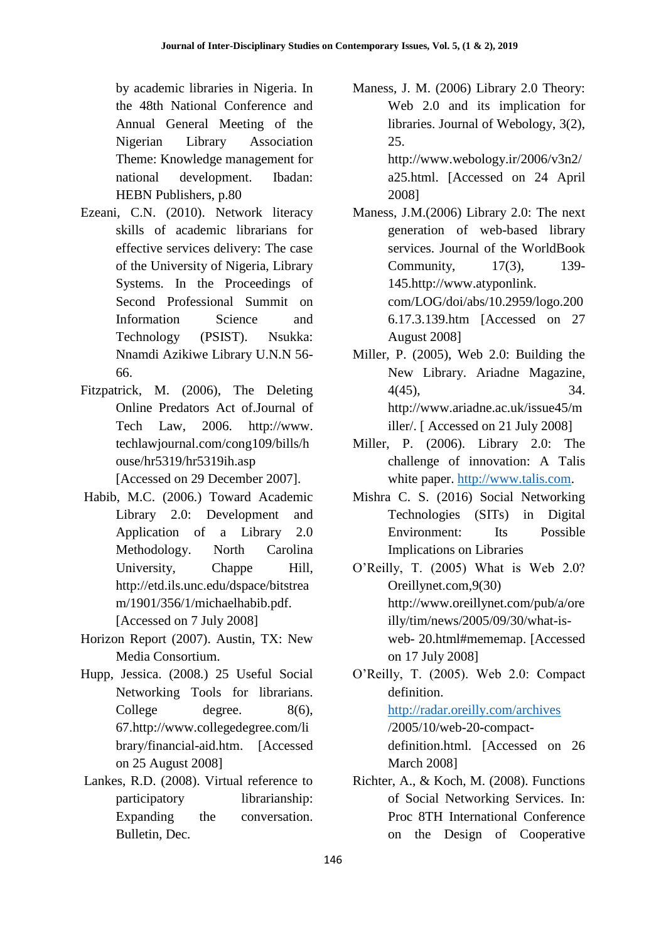by academic libraries in Nigeria. In the 48th National Conference and Annual General Meeting of the Nigerian Library Association Theme: Knowledge management for national development. Ibadan: HEBN Publishers, p.80

- Ezeani, C.N. (2010). Network literacy skills of academic librarians for effective services delivery: The case of the University of Nigeria, Library Systems. In the Proceedings of Second Professional Summit on Information Science and Technology (PSIST). Nsukka: Nnamdi Azikiwe Library U.N.N 56- 66.
- Fitzpatrick, M. (2006), The Deleting Online Predators Act of.Journal of Tech Law, 2006. http://www. techlawjournal.com/cong109/bills/h ouse/hr5319/hr5319ih.asp [Accessed on 29 December 2007].
- Habib, M.C. (2006.) Toward Academic Library 2.0: Development and Application of a Library 2.0 Methodology. North Carolina University, Chappe Hill, http://etd.ils.unc.edu/dspace/bitstrea m/1901/356/1/michaelhabib.pdf. [Accessed on 7 July 2008]
- Horizon Report (2007). Austin, TX: New Media Consortium.
- Hupp, Jessica. (2008.) 25 Useful Social Networking Tools for librarians. College degree. 8(6), 67.http://www.collegedegree.com/li brary/financial-aid.htm. [Accessed on 25 August 2008]
- Lankes, R.D. (2008). Virtual reference to participatory librarianship: Expanding the conversation. Bulletin, Dec.

Maness, J. M. (2006) Library 2.0 Theory: Web 2.0 and its implication for libraries. Journal of Webology, 3(2), 25.

http://www.webology.ir/2006/v3n2/ a25.html. [Accessed on 24 April 2008]

- Maness, J.M.(2006) Library 2.0: The next generation of web-based library services. Journal of the WorldBook Community, 17(3), 139- 145.http://www.atyponlink. com/LOG/doi/abs/10.2959/logo.200 6.17.3.139.htm [Accessed on 27 August 2008]
- Miller, P. (2005), Web 2.0: Building the New Library. Ariadne Magazine, 4(45), 34. http://www.ariadne.ac.uk/issue45/m iller/. [ Accessed on 21 July 2008]
- Miller, P. (2006). Library 2.0: The challenge of innovation: A Talis white paper. [http://www.talis.com.](http://www.talis.com/)
- Mishra C. S. (2016) Social Networking Technologies (SITs) in Digital Environment: Its Possible Implications on Libraries
- O'Reilly, T. (2005) What is Web 2.0? Oreillynet.com,9(30) http://www.oreillynet.com/pub/a/ore illy/tim/news/2005/09/30/what-isweb- 20.html#mememap. [Accessed on 17 July 2008]
- O'Reilly, T. (2005). Web 2.0: Compact definition.

<http://radar.oreilly.com/archives> /2005/10/web-20-compactdefinition.html. [Accessed on 26 March 2008]

Richter, A., & Koch, M. (2008). Functions of Social Networking Services. In: Proc 8TH International Conference on the Design of Cooperative